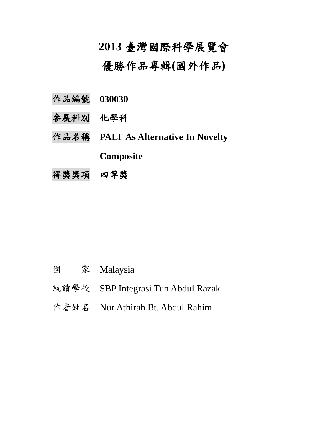## **2013** 臺灣國際科學展覽會

優勝作品專輯**(**國外作品**)**

- 作品編號 **030030**
- 參展科別 化學科
- 作品名稱 **PALF As Alternative In Novelty Composite**
- 得獎獎項 四等獎

- 國 家 Malaysia
- 就讀學校 SBP Integrasi Tun Abdul Razak
- 作者姓名 Nur Athirah Bt. Abdul Rahim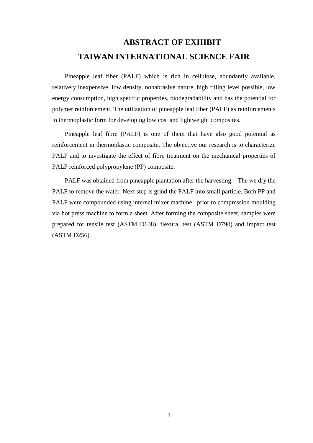## **ABSTRACT OF EXHIBIT TAIWAN INTERNATIONAL SCIENCE FAIR**

Pineapple leaf fiber (PALF) which is rich in cellulose, abundantly available, relatively inexpensive, low density, nonabrasive nature, high filling level possible, low energy consumption, high specific properties, biodegradability and has the potential for polymer reinforcement. The utilization of pineapple leaf fiber (PALF) as reinforcements in thermoplastic form for developing low cost and lightweight composites.

Pineapple leaf fibre (PALF) is one of them that have also good potential as reinforcement in thermoplastic composite. The objective our research is to characterize PALF and to investigate the effect of fibre treatment on the mechanical properties of PALF reinforced polypropylene (PP) composite.

PALF was obtained from pineapple plantation after the harvesting. The we dry the PALF to remove the water. Next step is grind the PALF into small particle. Both PP and PALF were compounded using internal mixer machine prior to compression moulding via hot press machine to form a sheet. After forming the composite sheet, samples were prepared for tensile test (ASTM D638), flexural test (ASTM D790) and impact test (ASTM D256).